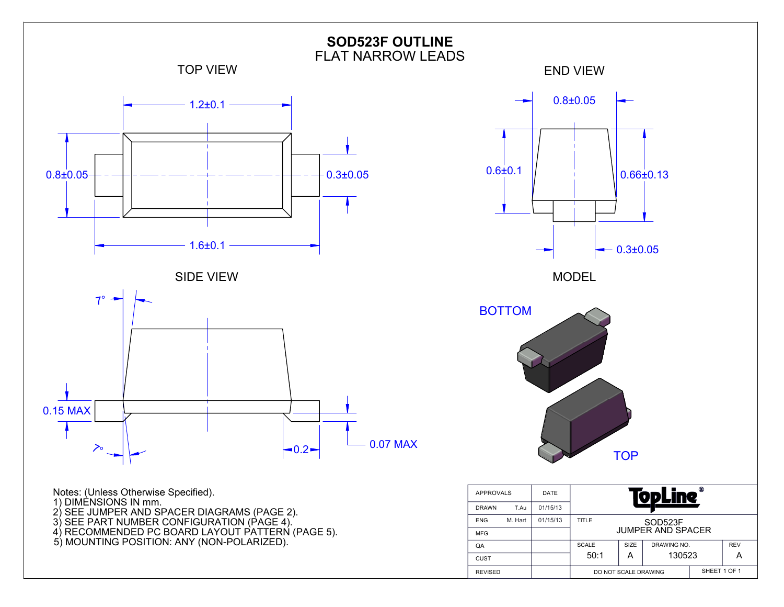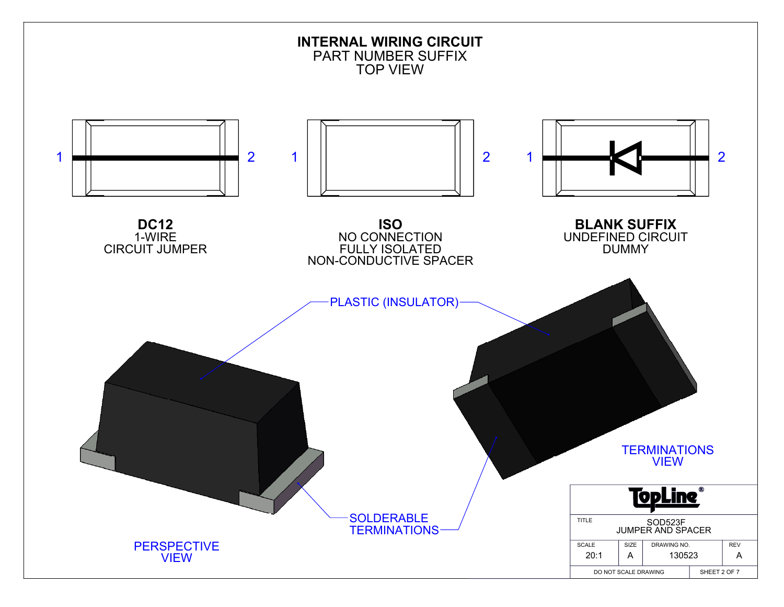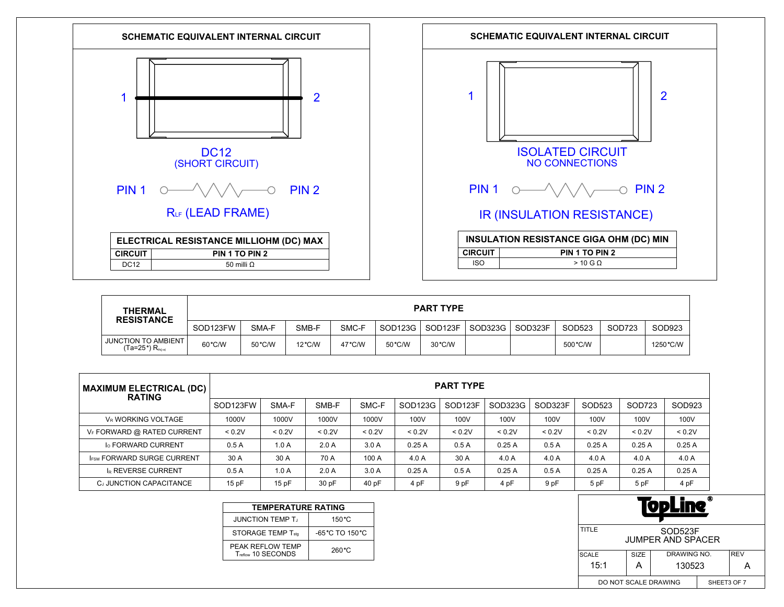



| <b>THERMAL</b><br><b>RESISTANCE</b>                         | <b>PART TYPE</b> |        |                  |                  |         |         |         |         |          |        |           |
|-------------------------------------------------------------|------------------|--------|------------------|------------------|---------|---------|---------|---------|----------|--------|-----------|
|                                                             | SOD123FW         | SMA-F  | SMB-F            | SMC-F            | SOD123G | SOD123F | SOD323G | SOD323F | SOD523   | SOD723 | SOD923    |
| <b>JUNCTION TO AMBIENT</b><br>$(Ta=25^{\circ})$ $R_{th(a)}$ | 60°C/W           | 50°C/W | $12^{\circ}$ C/W | $47^{\circ}$ C/W | 50 °C/W | 30 °C/W |         |         | 500 °C/W |        | 1250 °C/W |

| <b>MAXIMUM ELECTRICAL (DC)</b><br><b>RATING</b> | <b>PART TYPE</b> |        |        |        |         |                     |         |         |        |        |        |
|-------------------------------------------------|------------------|--------|--------|--------|---------|---------------------|---------|---------|--------|--------|--------|
|                                                 | SOD123FW         | SMA-F  | SMB-F  | SMC-F  | SOD123G | SOD <sub>123F</sub> | SOD323G | SOD323F | SOD523 | SOD723 | SOD923 |
| VR WORKING VOLTAGE                              | 1000V            | 1000V  | 1000V  | 1000V  | 100V    | 100V                | 100V    | 100V    | 100V   | 100V   | 100V   |
| VF FORWARD @ RATED CURRENT                      | < 0.2V           | < 0.2V | < 0.2V | < 0.2V | < 0.2V  | < 0.2V              | < 0.2V  | < 0.2V  | < 0.2V | < 0.2V | < 0.2V |
| <b>Io FORWARD CURRENT</b>                       | 0.5A             | 1.0A   | 2.0A   | 3.0A   | 0.25A   | 0.5A                | 0.25A   | 0.5A    | 0.25A  | 0.25A  | 0.25A  |
| <b>IFSM FORWARD SURGE CURRENT</b>               | 30 A             | 30 A   | 70 A   | 100 A  | 4.0A    | 30 A                | 4.0A    | 4.0 A   | 4.0 A  | 4.0 A  | 4.0 A  |
| <b>IR REVERSE CURRENT</b>                       | 0.5A             | 1.0A   | 2.0A   | 3.0A   | 0.25A   | 0.5A                | 0.25A   | 0.5A    | 0.25A  | 0.25A  | 0.25A  |
| CJ JUNCTION CAPACITANCE                         | 15 pF            | 15pF   | 30 pF  | 40 pF  | 4 pF    | 9 pF                | 4 pF    | 9 pF    | 5 pF   | 5 pF   | 4 pF   |

| <b>TEMPERATURE RATING</b>              |                                     |  |  |  |  |  |  |  |  |
|----------------------------------------|-------------------------------------|--|--|--|--|--|--|--|--|
| <b>JUNCTION TEMP T.</b>                | $150^{\circ}$ C                     |  |  |  |  |  |  |  |  |
| STORAGE TEMP T <sub>stg</sub>          | $-65^{\circ}$ C TO 150 $^{\circ}$ C |  |  |  |  |  |  |  |  |
| PEAK REFLOW TEMP<br>Treflow 10 SECONDS | 260 °C                              |  |  |  |  |  |  |  |  |

| Ф<br>VDLIN                                   |                                   |        |  |  |  |  |  |  |
|----------------------------------------------|-----------------------------------|--------|--|--|--|--|--|--|
| TITLE<br>SOD523F<br><b>JUMPER AND SPACER</b> |                                   |        |  |  |  |  |  |  |
| <b>SCALE</b>                                 | DRAWING NO.<br><b>REV</b><br>SIZE |        |  |  |  |  |  |  |
| 15:1                                         | А                                 | 130523 |  |  |  |  |  |  |
| DO NOT SCALE DRAWING<br>SHEET3 OF 7          |                                   |        |  |  |  |  |  |  |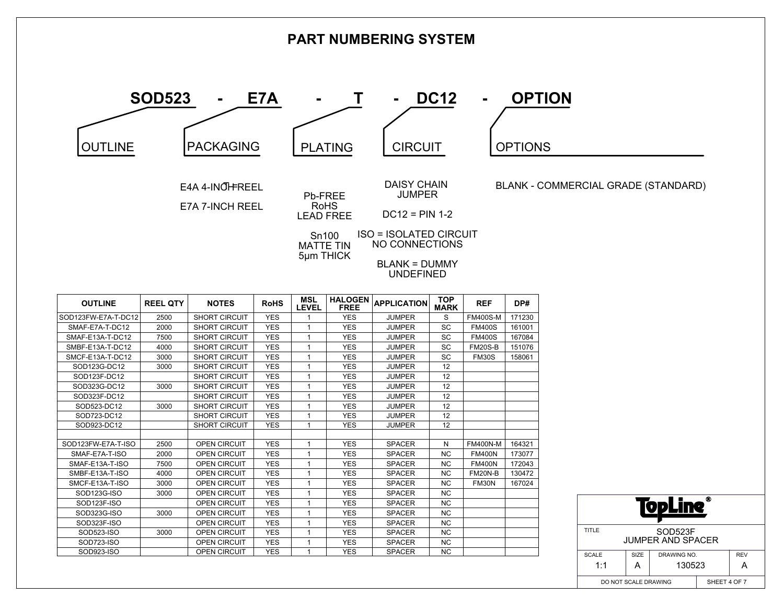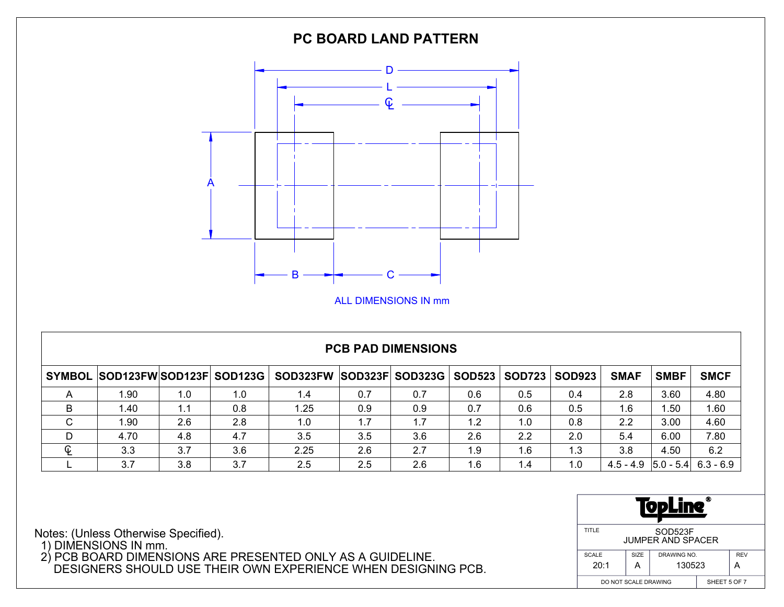

## **PCB PAD DIMENSIONS**

|             | SYMBOL SOD123FWSOD123F SOD123G |     |     | SOD323FW SOD323F SOD323G |     |     |     | SOD523   SOD723 | <b>SOD923</b> | <b>SMAF</b>                             | <b>SMBF</b> | <b>SMCF</b> |
|-------------|--------------------------------|-----|-----|--------------------------|-----|-----|-----|-----------------|---------------|-----------------------------------------|-------------|-------------|
|             | 1.90                           | 1.0 | 1.0 | 1.4                      | 0.7 | 0.7 | 0.6 | 0.5             | 0.4           | 2.8                                     | 3.60        | 4.80        |
|             | 1.40                           | 1.1 | 0.8 | 1.25                     | 0.9 | 0.9 | 0.7 | 0.6             | 0.5           | 1.6                                     | 1.50        | 1.60        |
| $\sim$<br>◡ | 1.90                           | 2.6 | 2.8 | 1.0                      | 1.7 | 1.7 | 1.2 | 1.0             | 0.8           | 2.2                                     | 3.00        | 4.60        |
| D           | 4.70                           | 4.8 | 4.7 | 3.5                      | 3.5 | 3.6 | 2.6 | 2.2             | 2.0           | 5.4                                     | 6.00        | 7.80        |
| ¢           | 3.3                            | 3.7 | 3.6 | 2.25                     | 2.6 | 2.7 | 1.9 | 1.6             | 1.3           | 3.8                                     | 4.50        | 6.2         |
|             | 3.7                            | 3.8 | 3.7 | 2.5                      | 2.5 | 2.6 | 1.6 | 1.4             | 1.0           | $4.5 - 4.9$   $5.0 - 5.4$   $6.3 - 6.9$ |             |             |

| ⋒<br>- 1<br>ŋ,                               |                                   |  |  |  |  |  |  |  |
|----------------------------------------------|-----------------------------------|--|--|--|--|--|--|--|
| TITLE<br>SOD523F<br><b>JUMPER AND SPACER</b> |                                   |  |  |  |  |  |  |  |
| <b>SCALE</b>                                 | SIZE<br>DRAWING NO.<br><b>REV</b> |  |  |  |  |  |  |  |
| 20:1                                         | 130523<br>А                       |  |  |  |  |  |  |  |
| DO NOT SCALE DRAWING                         | SHEET 5 OF 7                      |  |  |  |  |  |  |  |

Notes: (Unless Otherwise Specified).

1) DIMENSIONS IN mm.

 2) PCB BOARD DIMENSIONS ARE PRESENTED ONLY AS A GUIDELINE. DESIGNERS SHOULD USE THEIR OWN EXPERIENCE WHEN DESIGNING PCB.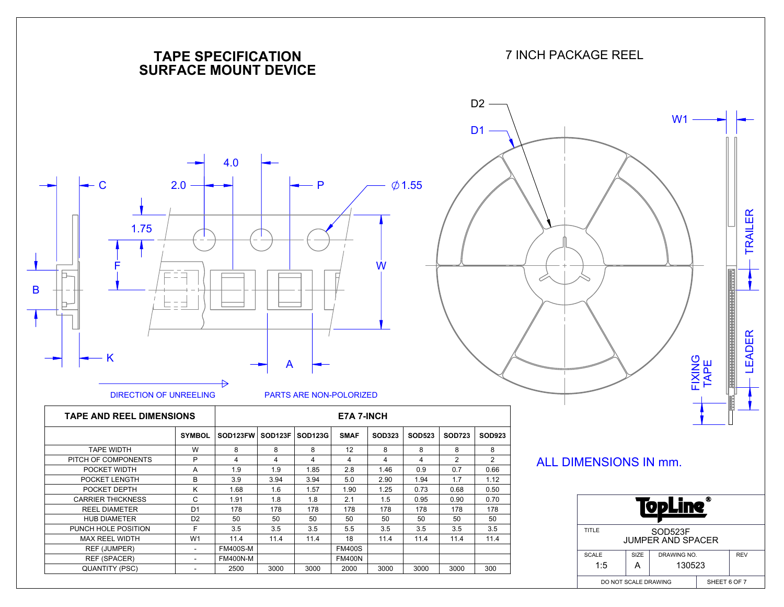